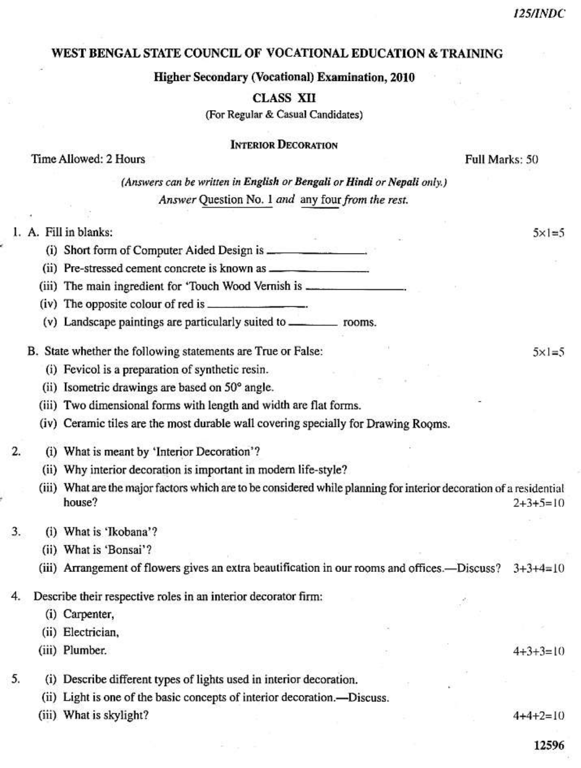$5x1=5$ 

 $5x1=5$ 

## WEST BENGAL STATE COUNCIL OF VOCATIONAL EDUCATION & TRAINING

Higher Secondary (Vocational) Examination, 2010

**CLASS XII** 

(For Regular & Casual Candidates)

### **INTERIOR DECORATION**

## Time Allowed: 2 Hours

Full Marks: 50

(Answers can be written in English or Bengali or Hindi or Nepali only.) Answer Question No. 1 and any four from the rest.

## 1. A. Fill in blanks:

(iii) The main ingredient for 'Touch Wood Vernish is \_\_\_\_\_\_\_\_\_\_\_\_\_\_\_\_\_\_\_\_\_\_\_\_\_\_\_\_

(iv) The opposite colour of red is \_\_\_\_\_\_\_\_

(v) Landscape paintings are particularly suited to \_\_\_\_\_\_\_\_\_\_\_\_\_\_ rooms.

B. State whether the following statements are True or False:

(i) Fevicol is a preparation of synthetic resin.

(ii) Isometric drawings are based on 50° angle.

(iii) Two dimensional forms with length and width are flat forms.

(iv) Ceramic tiles are the most durable wall covering specially for Drawing Rooms.

 $\overline{2}$ . (i) What is meant by 'Interior Decoration'?

(ii) Why interior decoration is important in modern life-style?

(iii) What are the major factors which are to be considered while planning for interior decoration of a residential house?  $2+3+5=10$ 

#### 3. (i) What is 'Ikobana'?

(ii) What is 'Bonsai'?

(iii) Arrangement of flowers gives an extra beautification in our rooms and offices.—Discuss?  $3+3+4=10$ 

Describe their respective roles in an interior decorator firm: 4.

(i) Carpenter,

(ii) Electrician,

(iii) Plumber.

 $4+3+3=10$ 

5. (i) Describe different types of lights used in interior decoration.

(ii) Light is one of the basic concepts of interior decoration.—Discuss.

(iii) What is skylight?

 $4+4+2=10$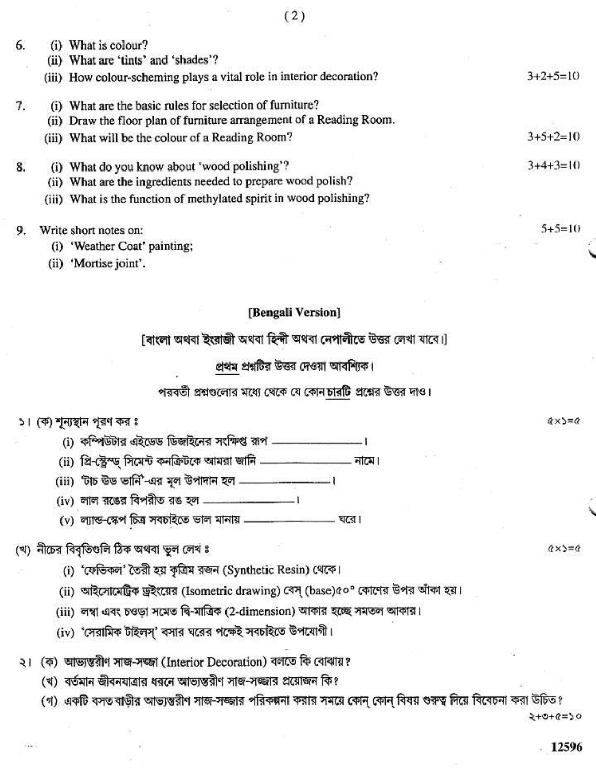| 5. | $_{(1)}$         | What is colour?                                                      |  |  |            |  |
|----|------------------|----------------------------------------------------------------------|--|--|------------|--|
|    |                  | (ii) What are 'tints' and 'shades'?                                  |  |  |            |  |
|    |                  | (iii) How colour-scheming plays a vital role in interior decoration? |  |  | $3+2+5=10$ |  |
| 7. | $\left(1\right)$ | What are the basic rules for selection of furniture?                 |  |  |            |  |
|    |                  | (ii) Draw the floor plan of furniture arrangement of a Reading Room. |  |  |            |  |
|    |                  | (iii) What will be the colour of a Reading Room?                     |  |  | $3+5+2=10$ |  |
| 8. | (i)              | What do you know about 'wood polishing'?                             |  |  | $3+4+3=10$ |  |
|    | (11)             | What are the ingredients needed to prepare wood polish?              |  |  |            |  |
|    |                  | (iii) What is the function of methylated spirit in wood polishing?   |  |  |            |  |
| 9. |                  | Write short notes on:                                                |  |  | $5+5=10$   |  |
|    | (i)              | 'Weather Coat' painting;                                             |  |  |            |  |
|    | (ii)             | 'Mortise joint'.                                                     |  |  |            |  |
|    |                  |                                                                      |  |  |            |  |

### [Bengali Version]

[ৰাংলা অথবা ইংরাজী অথবা হিন্দী অথবা নেপালীতে উত্তর লেখা যাবে।]

প্রথম প্রশ্নটির উত্তর দেওয়া আবশ্যিক।

পরবর্তী প্রশ্নগুলোর মধ্যে থেকে যে কোন চারটি প্রশ্নের উত্তর দাও।

### ১। (ক) শূন্যস্থান পূরণ কর ঃ

- (i) কম্পিউটার এইডেড ডিজাইনের সংক্ষিপ্ত রূপ \_\_\_\_\_\_\_\_\_\_\_\_\_\_\_\_\_।
- (ii) প্রি-স্ট্রেস্ড্ সিমেন্ট কনক্রিটকে আমরা জানি \_\_\_\_\_\_\_\_\_\_\_\_\_\_\_ নামে।
- (iii) 'টাচ উড ভার্নি'-এর মূল উপাদান হল \_\_\_\_\_\_\_\_\_\_
- 
- (v) ল্যান্ড-স্কেপ চিত্র সবচাইতে ভাল মানায় \_\_\_\_\_\_\_\_\_\_\_\_\_ —— ঘরে।

# (থ) নীচের বিবৃতিগুলি ঠিক অথবা ভুল লেখ ঃ

- (i) 'ফেভিকল' তৈরী হয় কৃত্রিম রজন (Synthetic Resin) থেকে।
- (ii) আইসোমেট্রিক ড্রইংয়ের (Isometric drawing) বেস্ (base)৫০° কোণের উপর আঁকা হয়।
- (iii) লম্বা এবং চওড়া সমেত দ্বি-মাত্রিক (2-dimension) আকার হচ্ছে সমতল আকার।
- (iv) 'সেরামিক টাইলস্' বসার ঘরের পক্ষেই সবচাইতে উপযোগী।
- ২। (ক) আভ্যস্তরীণ সাজ-সজ্জা (Interior Decoration) বলতে কি বোঝায়?
	- (খ) বর্তমান জীবনযাত্রার ধরনে আভ্যস্তরীণ সাজ-সজ্জার প্রয়োজন কি?
	- (গ) একটি বসত বাড়ীর আভ্যন্তরীণ সাজ-সজ্জার পরিকল্পনা করার সময়ে কোন্ কোন্ বিষয় গুরুত্ব দিয়ে বিবেচনা করা উচিত?

2+0+2=20

12596

 $(x \times)=0$ 

 $(x) = c$ 

 $(2)$